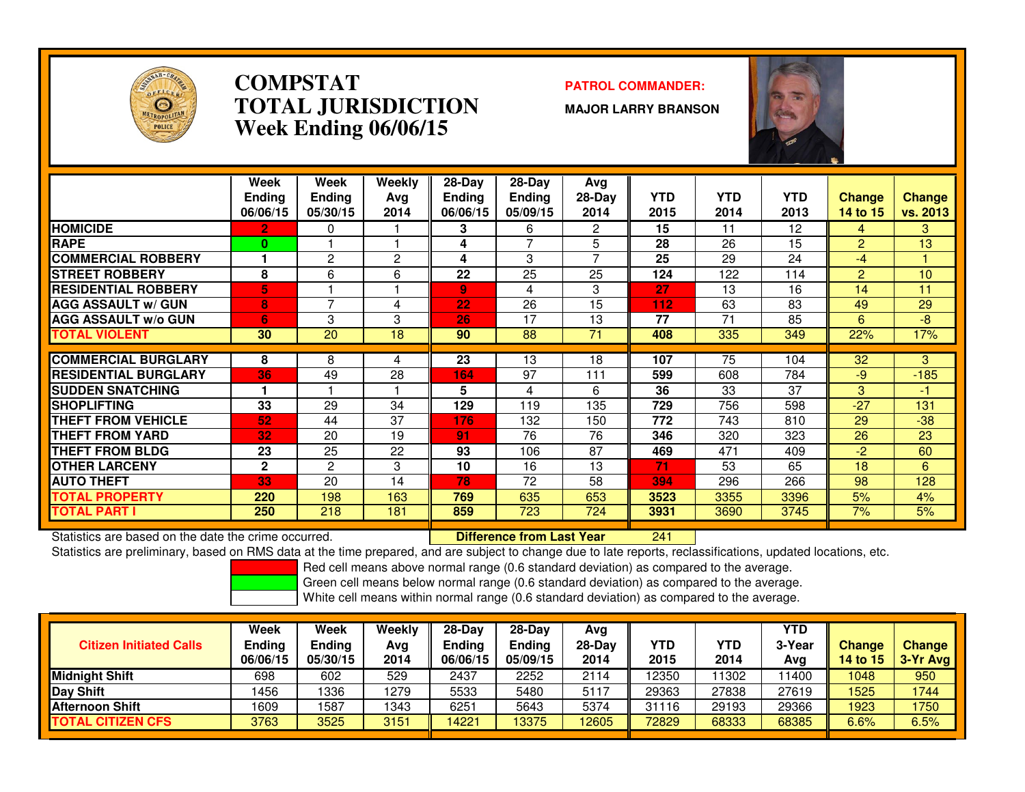

### **COMPSTATPATROL COMMANDER:**<br> **PATROL COMMANDER: TOTAL JURISDICTIONWeek Ending 06/06/15**

**MAJOR LARRY BRANSON**



|                              | Week<br><b>Ending</b><br>06/06/15 | Week<br><b>Ending</b><br>05/30/15 | Weekly<br>Ava<br>2014 | $28-Day$<br><b>Endina</b><br>06/06/15 | $28-Day$<br><b>Ending</b><br>05/09/15 | Avg<br>$28-Day$<br>2014 | <b>YTD</b><br>2015 | <b>YTD</b><br>2014 | <b>YTD</b><br>2013 | <b>Change</b><br>14 to 15 | <b>Change</b><br><b>vs. 2013</b> |
|------------------------------|-----------------------------------|-----------------------------------|-----------------------|---------------------------------------|---------------------------------------|-------------------------|--------------------|--------------------|--------------------|---------------------------|----------------------------------|
| <b>HOMICIDE</b>              | 2.                                | 0                                 |                       | 3                                     | 6                                     | 2                       | 15                 | 11                 | 12                 | 4                         | 3                                |
| <b>RAPE</b>                  | 0                                 |                                   |                       | 4                                     | $\overline{ }$                        | 5                       | 28                 | 26                 | 15                 | $\overline{2}$            | 13                               |
| <b>COMMERCIAL ROBBERY</b>    |                                   | 2                                 | 2                     | 4                                     | 3                                     | 7                       | 25                 | 29                 | 24                 | $-4$                      |                                  |
| <b>STREET ROBBERY</b>        | 8                                 | 6                                 | 6                     | 22                                    | 25                                    | 25                      | 124                | 122                | 114                | $\overline{2}$            | 10                               |
| <b>IRESIDENTIAL ROBBERY</b>  | 5                                 |                                   |                       | $\overline{9}$                        | 4                                     | 3                       | 27                 | 13                 | 16                 | 14                        | 11                               |
| <b>AGG ASSAULT w/ GUN</b>    | 8                                 | 7                                 | 4                     | 22                                    | 26                                    | 15                      | 112                | 63                 | 83                 | 49                        | 29                               |
| <b>AGG ASSAULT w/o GUN</b>   | 6                                 | 3                                 | 3                     | 26                                    | 17                                    | 13                      | 77                 | 71                 | 85                 | 6                         | -8                               |
| <b>TOTAL VIOLENT</b>         | 30                                | 20                                | 18                    | 90                                    | 88                                    | 71                      | 408                | 335                | 349                | 22%                       | 17%                              |
|                              |                                   |                                   |                       |                                       |                                       |                         |                    |                    |                    |                           |                                  |
| <b>COMMERCIAL BURGLARY</b>   | 8                                 | 8                                 | 4                     | 23                                    | 13                                    | 18                      | 107                | 75                 | 104                | 32                        | 3                                |
| <b>IRESIDENTIAL BURGLARY</b> | 36                                | 49                                | 28                    | 164                                   | 97                                    | 111                     | 599                | 608                | 784                | $-9$                      | $-185$                           |
| <b>SUDDEN SNATCHING</b>      |                                   |                                   |                       | 5                                     | 4                                     | 6                       | 36                 | 33                 | 37                 | 3                         | -1.                              |
| <b>ISHOPLIFTING</b>          | 33                                | 29                                | 34                    | 129                                   | 119                                   | 135                     | 729                | 756                | 598                | $-27$                     | 131                              |
| <b>THEFT FROM VEHICLE</b>    | 52                                | 44                                | 37                    | 176                                   | 132                                   | 150                     | 772                | 743                | 810                | 29                        | $-38$                            |
| <b>THEFT FROM YARD</b>       | 32                                | 20                                | 19                    | 91                                    | 76                                    | 76                      | 346                | 320                | 323                | 26                        | 23                               |
| <b>THEFT FROM BLDG</b>       | 23                                | 25                                | 22                    | 93                                    | 106                                   | 87                      | 469                | 471                | 409                | $-2$                      | 60                               |
| <b>OTHER LARCENY</b>         | $\overline{2}$                    | 2                                 | 3                     | 10                                    | 16                                    | 13                      | 71                 | 53                 | 65                 | 18                        | 6                                |
| <b>AUTO THEFT</b>            | 33                                | 20                                | 14                    | 78                                    | 72                                    | 58                      | 394                | 296                | 266                | 98                        | 128                              |
| <b>TOTAL PROPERTY</b>        | 220                               | 198                               | 163                   | 769                                   | 635                                   | 653                     | 3523               | 3355               | 3396               | 5%                        | 4%                               |
| <b>TOTAL PART I</b>          | 250                               | 218                               | 181                   | 859                                   | 723                                   | 724                     | 3931               | 3690               | 3745               | 7%                        | 5%                               |

Statistics are based on the date the crime occurred. **Difference from Last Year** 

Statistics are based on the date the crime occurred. **[2006] [20] Difference from Last Year [241] [241] [20] Statistics** are preliminary, based on RMS data at the time prepared, and are subject to change due to late report

Red cell means above normal range (0.6 standard deviation) as compared to the average.

Green cell means below normal range (0.6 standard deviation) as compared to the average.

| <b>Citizen Initiated Calls</b> | Week<br>Ending<br>06/06/15 | <b>Week</b><br>Ending<br>05/30/15 | Weekly<br>Avg<br>2014 | $28 - Day$<br>Ending<br>06/06/15 | $28-Dav$<br>Ending<br>05/09/15 | Avg<br>$28-Day$<br>2014 | YTD<br>2015 | YTD<br>2014 | YTD<br>3-Year<br>Avg | <b>Change</b><br>14 to 15 | <b>Change</b><br>3-Yr Avg |
|--------------------------------|----------------------------|-----------------------------------|-----------------------|----------------------------------|--------------------------------|-------------------------|-------------|-------------|----------------------|---------------------------|---------------------------|
| Midnight Shift                 | 698                        | 602                               | 529                   | 2437                             | 2252                           | 2114                    | 12350       | 1302        | 11400                | 1048                      | 950                       |
| Day Shift                      | 1456                       | 1336                              | 1279                  | 5533                             | 5480                           | 5117                    | 29363       | 27838       | 27619                | 1525                      | 1744                      |
| <b>Afternoon Shift</b>         | 1609                       | 1587                              | 1343                  | 6251                             | 5643                           | 5374                    | 31116       | 29193       | 29366                | 1923                      | 1750                      |
| <b>TOTAL CITIZEN CFS</b>       | 3763                       | 3525                              | 3151                  | 14221                            | 13375                          | 12605                   | 72829       | 68333       | 68385                | 6.6%                      | 6.5%                      |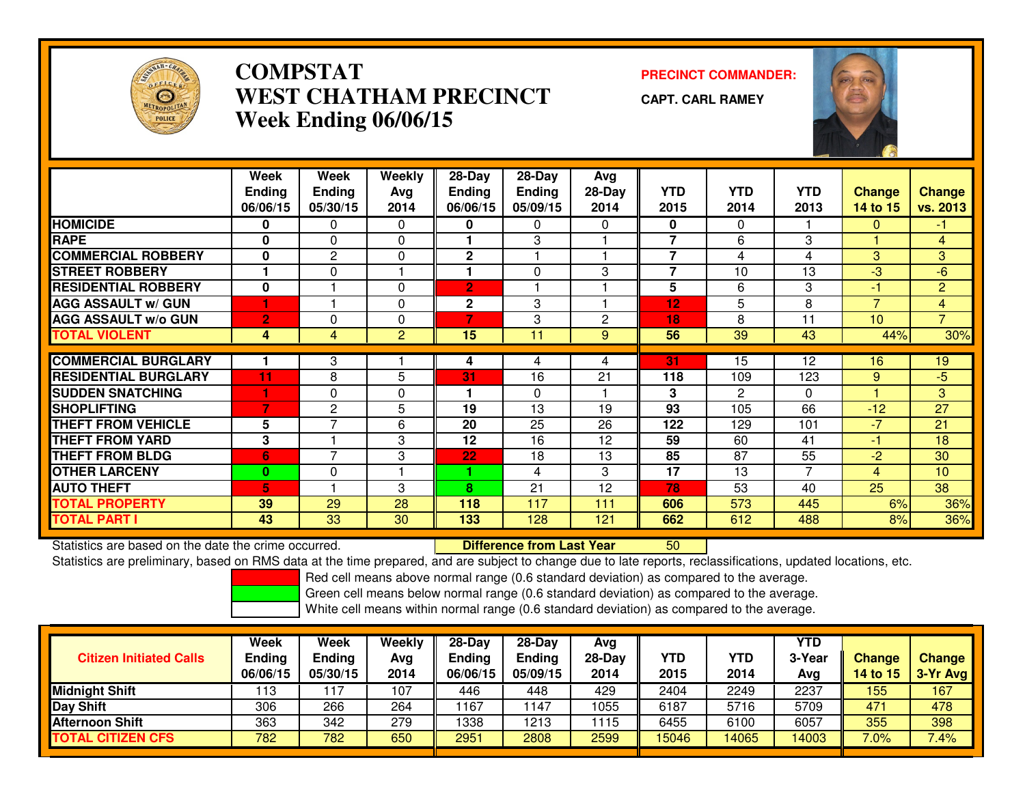

## **COMPSTAT PRECINCT COMMANDER: WEST CHATHAM PRECINCTWeek Ending 06/06/15**

**CAPT. CARL RAMEY**



|                             | Week<br><b>Ending</b><br>06/06/15 | Week<br><b>Ending</b><br>05/30/15 | Weekly<br>Ava<br>2014 | 28-Day<br><b>Ending</b><br>06/06/15 | 28-Day<br><b>Ending</b><br>05/09/15 | Avg<br>$28-Day$<br>2014 | <b>YTD</b><br>2015       | <b>YTD</b><br>2014 | <b>YTD</b><br>2013 | <b>Change</b><br>14 to 15 | <b>Change</b><br>vs. 2013 |
|-----------------------------|-----------------------------------|-----------------------------------|-----------------------|-------------------------------------|-------------------------------------|-------------------------|--------------------------|--------------------|--------------------|---------------------------|---------------------------|
| <b>HOMICIDE</b>             | 0                                 | $\mathbf{0}$                      | 0                     | 0                                   | $\Omega$                            | 0                       | $\mathbf{0}$             | $\mathbf{0}$       |                    | 0                         | $-1$                      |
| <b>RAPE</b>                 | 0                                 | $\Omega$                          | $\Omega$              |                                     | 3                                   |                         | $\overline{\phantom{a}}$ | 6                  | 3                  |                           | $\overline{4}$            |
| <b>COMMERCIAL ROBBERY</b>   | 0                                 | $\overline{2}$                    | $\Omega$              | $\mathbf{2}$                        |                                     |                         | 7                        | 4                  | 4                  | 3                         | 3                         |
| <b>STREET ROBBERY</b>       |                                   | 0                                 |                       |                                     | $\mathbf{0}$                        | 3                       | $\overline{\phantom{a}}$ | 10                 | 13                 | $-3$                      | $-6$                      |
| <b>RESIDENTIAL ROBBERY</b>  | 0                                 |                                   | $\Omega$              | $\overline{2}$                      |                                     |                         | 5                        | 6                  | 3                  | -1                        | $\overline{2}$            |
| <b>AGG ASSAULT w/ GUN</b>   |                                   |                                   | $\Omega$              | $\mathbf 2$                         | 3                                   |                         | 12                       | 5                  | 8                  | $\overline{7}$            | $\overline{4}$            |
| <b>AGG ASSAULT w/o GUN</b>  | $\overline{2}$                    | 0                                 | $\Omega$              | 7                                   | 3                                   | $\mathbf{2}$            | 18                       | 8                  | 11                 | 10                        | $\overline{7}$            |
| <b>TOTAL VIOLENT</b>        | 4                                 | 4                                 | $\overline{2}$        | 15                                  | 11                                  | 9                       | 56                       | 39                 | 43                 | 44%                       | 30%                       |
|                             |                                   |                                   |                       |                                     |                                     |                         |                          |                    |                    |                           |                           |
| <b>COMMERCIAL BURGLARY</b>  |                                   | 3                                 |                       | 4                                   | 4                                   | 4                       | 31                       | 15                 | 12                 | 16                        | 19                        |
| <b>RESIDENTIAL BURGLARY</b> | 11                                | 8                                 | 5                     | 31                                  | 16                                  | 21                      | 118                      | 109                | 123                | 9                         | $-5$                      |
| <b>SUDDEN SNATCHING</b>     |                                   | 0                                 | 0                     | 1                                   | $\Omega$                            |                         | 3                        | 2                  | $\Omega$           |                           | 3                         |
| <b>SHOPLIFTING</b>          | 7                                 | 2                                 | 5                     | 19                                  | 13                                  | 19                      | 93                       | 105                | 66                 | $-12$                     | $\overline{27}$           |
| <b>THEFT FROM VEHICLE</b>   | 5                                 | 7                                 | 6                     | 20                                  | 25                                  | 26                      | 122                      | 129                | 101                | $-7$                      | 21                        |
| <b>THEFT FROM YARD</b>      | 3                                 |                                   | 3                     | 12                                  | 16                                  | 12                      | 59                       | 60                 | 41                 | $-1$                      | 18                        |
| <b>THEFT FROM BLDG</b>      | 6                                 | $\overline{7}$                    | 3                     | 22                                  | 18                                  | 13                      | 85                       | $\overline{87}$    | $\overline{55}$    | $-2$                      | 30                        |
| <b>OTHER LARCENY</b>        | $\mathbf{0}$                      | 0                                 |                       | 1                                   | 4                                   | 3                       | 17                       | 13                 | $\overline{7}$     | 4                         | 10                        |
| <b>AUTO THEFT</b>           | 6'                                |                                   | 3                     | 8                                   | 21                                  | 12                      | 78                       | 53                 | 40                 | 25                        | 38                        |
| <b>TOTAL PROPERTY</b>       | 39                                | 29                                | 28                    | 118                                 | 117                                 | 111                     | 606                      | 573                | 445                | 6%                        | 36%                       |
| <b>TOTAL PART I</b>         | 43                                | 33                                | 30                    | 133                                 | 128                                 | 121                     | 662                      | 612                | 488                | 8%                        | 36%                       |

Statistics are based on the date the crime occurred. **Difference from Last Year** 

Statistics are based on the date the crime occurred. The time prepared, and are subject to change due to late reports, reclassifications, updated locations, etc.<br>Statistics are preliminary, based on RMS data at the time pr

Red cell means above normal range (0.6 standard deviation) as compared to the average.

Green cell means below normal range (0.6 standard deviation) as compared to the average.

| <b>Citizen Initiated Calls</b> | Week<br><b>Ending</b><br>06/06/15 | <b>Week</b><br><b>Ending</b><br>05/30/15 | Weekly<br>Avg<br>2014 | 28-Day<br><b>Ending</b><br>06/06/15 | $28-Day$<br><b>Ending</b><br>05/09/15 | Avg<br>28-Dav<br>2014 | YTD<br>2015 | <b>YTD</b><br>2014 | YTD<br>3-Year<br>Avg | <b>Change</b><br>14 to 15 | <b>Change</b><br>3-Yr Avg |
|--------------------------------|-----------------------------------|------------------------------------------|-----------------------|-------------------------------------|---------------------------------------|-----------------------|-------------|--------------------|----------------------|---------------------------|---------------------------|
| <b>Midnight Shift</b>          | 113                               | .17                                      | 107                   | 446                                 | 448                                   | 429                   | 2404        | 2249               | 2237                 | 155                       | 167                       |
| <b>Day Shift</b>               | 306                               | 266                                      | 264                   | 1167                                | 147                                   | 1055                  | 6187        | 5716               | 5709                 | 471                       | 478                       |
| <b>Afternoon Shift</b>         | 363                               | 342                                      | 279                   | 1338                                | 1213                                  | 1115                  | 6455        | 6100               | 6057                 | 355                       | 398                       |
| <b>TOTAL CITIZEN CFS</b>       | 782                               | 782                                      | 650                   | 2951                                | 2808                                  | 2599                  | 15046       | 4065               | 14003                | $7.0\%$                   | 7.4%                      |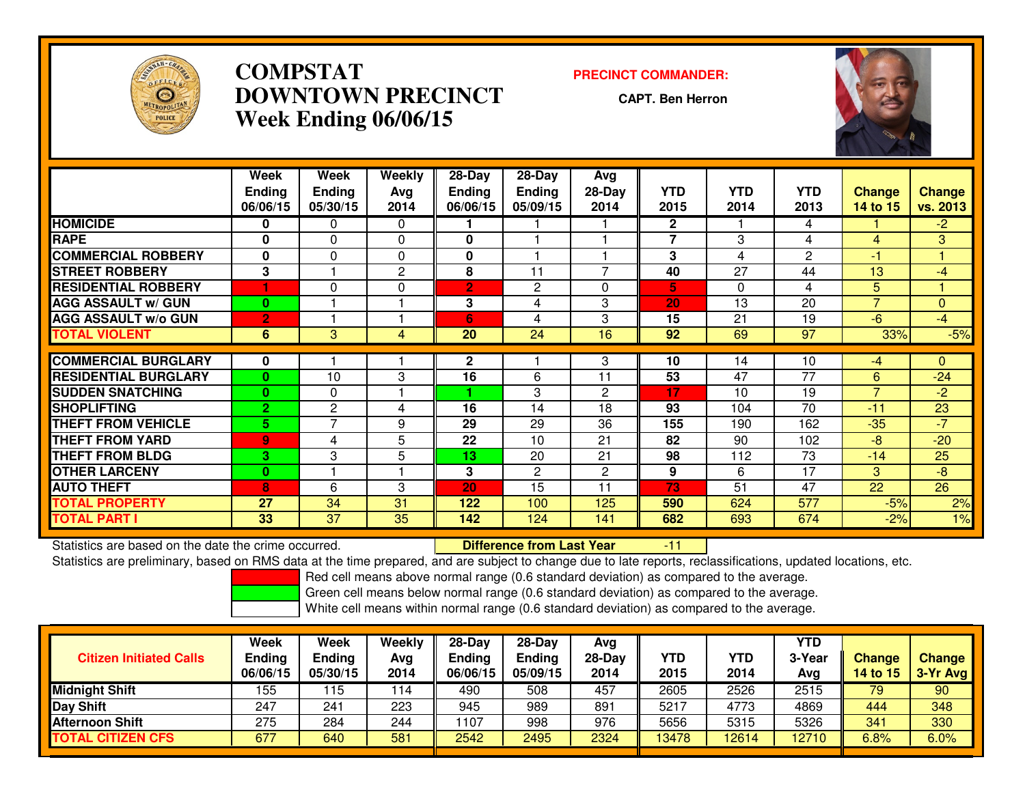

## **COMPSTAT PRECINCT COMMANDER: DOWNTOWN PRECINCTWeek Ending 06/06/15**

**CAPT. Ben Herron**



|                             | Week<br><b>Ending</b><br>06/06/15 | Week<br><b>Ending</b><br>05/30/15 | Weekly<br>Ava<br>2014 | $28-Day$<br><b>Ending</b><br>06/06/15 | $28$ -Day<br><b>Ending</b><br>05/09/15 | Avg<br>$28-Day$<br>2014 | <b>YTD</b><br>2015 | <b>YTD</b><br>2014 | <b>YTD</b><br>2013 | <b>Change</b><br>14 to 15 | <b>Change</b><br>vs. 2013 |
|-----------------------------|-----------------------------------|-----------------------------------|-----------------------|---------------------------------------|----------------------------------------|-------------------------|--------------------|--------------------|--------------------|---------------------------|---------------------------|
| <b>HOMICIDE</b>             | 0                                 | 0                                 | 0                     |                                       |                                        |                         | $\mathbf{2}$       |                    | 4                  |                           | $-2$                      |
| <b>RAPE</b>                 | $\bf{0}$                          | $\Omega$                          | 0                     | $\bf{0}$                              |                                        |                         | $\overline{7}$     | 3                  | 4                  | 4                         | 3                         |
| <b>COMMERCIAL ROBBERY</b>   | 0                                 | 0                                 | $\Omega$              | 0                                     |                                        |                         | 3                  | 4                  | 2                  | -1                        |                           |
| <b>STREET ROBBERY</b>       | 3                                 |                                   | $\mathbf{2}$          | 8                                     | 11                                     | $\overline{7}$          | 40                 | 27                 | 44                 | 13                        | $-4$                      |
| <b>RESIDENTIAL ROBBERY</b>  |                                   | 0                                 | $\Omega$              | $\overline{2}$                        | 2                                      | $\Omega$                | 5                  | 0                  | 4                  | 5                         |                           |
| <b>AGG ASSAULT w/ GUN</b>   | $\mathbf{0}$                      |                                   |                       | 3                                     | 4                                      | 3                       | 20                 | 13                 | 20                 | $\overline{7}$            | $\Omega$                  |
| <b>AGG ASSAULT w/o GUN</b>  | $\overline{2}$                    |                                   |                       | 6                                     | 4                                      | 3                       | 15                 | 21                 | 19                 | $-6$                      | $-4$                      |
| <b>TOTAL VIOLENT</b>        | 6                                 | 3                                 | 4                     | 20                                    | 24                                     | 16                      | 92                 | 69                 | 97                 | 33%                       | $-5%$                     |
|                             |                                   |                                   |                       |                                       |                                        |                         |                    |                    |                    |                           |                           |
| <b>COMMERCIAL BURGLARY</b>  | 0                                 |                                   |                       | $\mathbf{2}$                          |                                        | 3                       | 10                 | 14                 | 10                 | $-4$                      | $\Omega$                  |
| <b>RESIDENTIAL BURGLARY</b> | 0                                 | 10                                | 3                     | 16                                    | 6                                      | 11                      | 53                 | 47                 | $\overline{77}$    | 6                         | $-24$                     |
| <b>SUDDEN SNATCHING</b>     | 0                                 | 0                                 |                       |                                       | 3                                      | 2                       | 17                 | 10                 | 19                 | $\overline{7}$            | $-2$                      |
| <b>SHOPLIFTING</b>          | $\overline{2}$                    | 2                                 | 4                     | 16                                    | 14                                     | 18                      | 93                 | 104                | 70                 | $-11$                     | 23                        |
| <b>THEFT FROM VEHICLE</b>   | 5.                                | 7                                 | 9                     | 29                                    | 29                                     | 36                      | 155                | 190                | 162                | $-35$                     | $-7$                      |
| THEFT FROM YARD             | 9                                 | 4                                 | 5                     | 22                                    | 10                                     | 21                      | 82                 | 90                 | 102                | $-8$                      | $-20$                     |
| <b>THEFT FROM BLDG</b>      | 3                                 | 3                                 | 5                     | 13                                    | 20                                     | 21                      | 98                 | 112                | $\overline{73}$    | $-14$                     | 25                        |
| <b>OTHER LARCENY</b>        | $\mathbf{0}$                      |                                   |                       | 3                                     | 2                                      | $\overline{2}$          | 9                  | 6                  | 17                 | 3                         | -8                        |
| <b>AUTO THEFT</b>           | 8                                 | 6                                 | 3                     | 20                                    | 15                                     | 11                      | 73                 | 51                 | 47                 | 22                        | 26                        |
| TOTAL PROPERTY              | 27                                | 34                                | 31                    | 122                                   | 100                                    | 125                     | 590                | 624                | 577                | $-5%$                     | 2%                        |
| <b>TOTAL PART I</b>         | 33                                | 37                                | 35                    | 142                                   | 124                                    | 141                     | 682                | 693                | 674                | $-2%$                     | 1%                        |

Statistics are based on the date the crime occurred. **Difference from Last Year** 

Statistics are based on the date the crime occurred.<br>Statistics are preliminary, based on RMS data at the time prepared, and are subject to change due to late reports, reclassifications, updated locations, etc.

Red cell means above normal range (0.6 standard deviation) as compared to the average.

Green cell means below normal range (0.6 standard deviation) as compared to the average.

| <b>Citizen Initiated Calls</b> | Week<br><b>Ending</b><br>06/06/15 | Week<br><b>Ending</b><br>05/30/15 | Weekly<br>Avg<br>2014 | 28-Day<br><b>Ending</b><br>06/06/15 | 28-Day<br><b>Ending</b><br>05/09/15 | Avg<br>$28-Day$<br>2014 | YTD<br>2015 | YTD<br>2014 | <b>YTD</b><br>3-Year<br>Avg | <b>Change</b><br><b>14 to 15</b> | <b>Change</b><br>$3-Yr$ Avg |
|--------------------------------|-----------------------------------|-----------------------------------|-----------------------|-------------------------------------|-------------------------------------|-------------------------|-------------|-------------|-----------------------------|----------------------------------|-----------------------------|
| Midnight Shift                 | 155                               | 15                                | 114                   | 490                                 | 508                                 | 457                     | 2605        | 2526        | 2515                        | 79                               | 90                          |
| Day Shift                      | 247                               | 241                               | 223                   | 945                                 | 989                                 | 891                     | 5217        | 4773        | 4869                        | 444                              | 348                         |
| <b>Afternoon Shift</b>         | 275                               | 284                               | 244                   | 1107                                | 998                                 | 976                     | 5656        | 5315        | 5326                        | 341                              | 330                         |
| <b>TOTAL CITIZEN CFS</b>       | 677                               | 640                               | 581                   | 2542                                | 2495                                | 2324                    | 13478       | 12614       | 12710                       | 6.8%                             | 6.0%                        |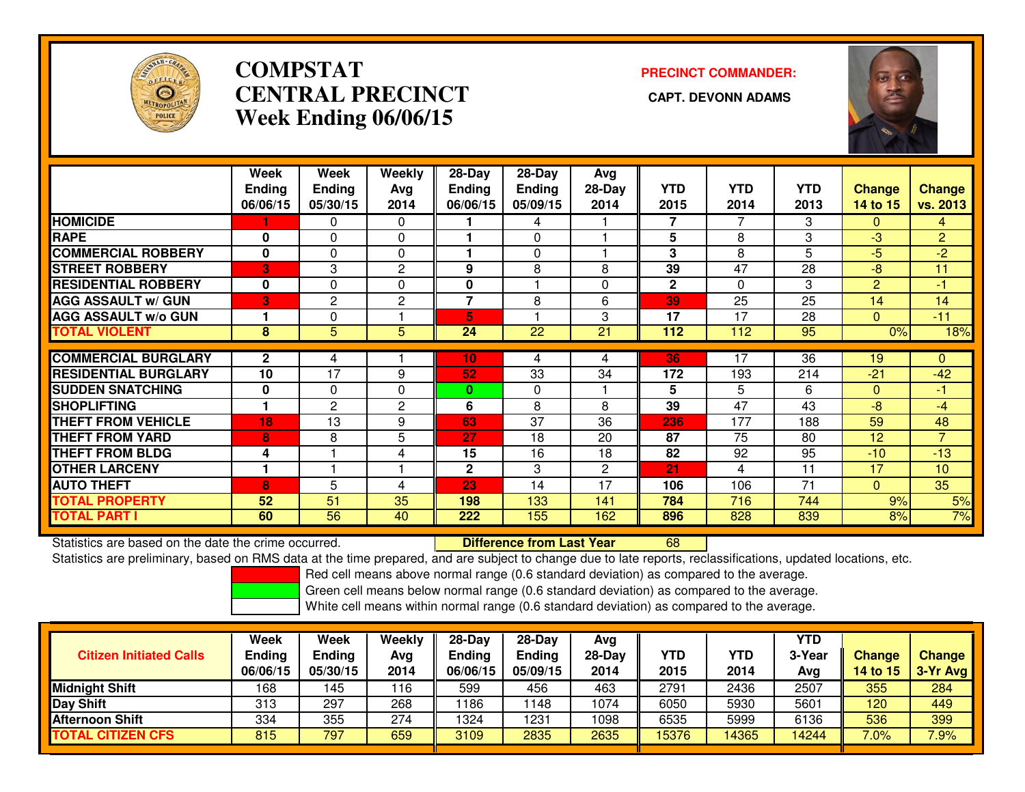

## **COMPSTATCENTRAL PRECINCT Week Ending 06/06/15**

# **PRECINCT COMMANDER:**



|                             | Week          | Week           | <b>Weekly</b>  | 28-Day         | 28-Day   | Avg      |              |            |            |                |                |
|-----------------------------|---------------|----------------|----------------|----------------|----------|----------|--------------|------------|------------|----------------|----------------|
|                             | <b>Ending</b> | <b>Ending</b>  | Avg            | <b>Ending</b>  | Ending   | $28-Day$ | <b>YTD</b>   | <b>YTD</b> | <b>YTD</b> | <b>Change</b>  | <b>Change</b>  |
|                             | 06/06/15      | 05/30/15       | 2014           | 06/06/15       | 05/09/15 | 2014     | 2015         | 2014       | 2013       | 14 to 15       | vs. 2013       |
| <b>HOMICIDE</b>             |               | 0              | $\mathbf{0}$   |                | 4        |          | 7            | 7          | 3          | $\Omega$       | 4              |
| <b>RAPE</b>                 | 0             | 0              | 0              |                | $\Omega$ |          | 5            | 8          | 3          | -3             | $\overline{2}$ |
| <b>COMMERCIAL ROBBERY</b>   | $\mathbf{0}$  | 0              | $\Omega$       |                | $\Omega$ |          | 3            | 8          | 5          | -5             | $-2$           |
| <b>STREET ROBBERY</b>       | 3             | 3              | 2              | 9              | 8        | 8        | 39           | 47         | 28         | -8             | 11             |
| <b>RESIDENTIAL ROBBERY</b>  | $\bf{0}$      | $\Omega$       | $\Omega$       | $\bf{0}$       |          | 0        | $\mathbf{2}$ | 0          | 3          | $\overline{2}$ | -1             |
| <b>AGG ASSAULT w/ GUN</b>   | 3             | $\mathbf{2}$   | $\overline{2}$ | $\overline{7}$ | 8        | 6        | 39           | 25         | 25         | 14             | 14             |
| <b>AGG ASSAULT w/o GUN</b>  |               | 0              |                | 5              |          | 3        | 17           | 17         | 28         | $\Omega$       | $-11$          |
| <b>TOTAL VIOLENT</b>        | 8             | 5              | 5              | 24             | 22       | 21       | 112          | 112        | 95         | 0%             | 18%            |
|                             |               |                |                |                |          |          |              |            |            |                |                |
| <b>COMMERCIAL BURGLARY</b>  | $\mathbf{2}$  | 4              |                | 10             | 4        | 4        | 36           | 17         | 36         | 19             | $\mathbf{0}$   |
| <b>RESIDENTIAL BURGLARY</b> | 10            | 17             | 9              | 52             | 33       | 34       | 172          | 193        | 214        | $-21$          | $-42$          |
| <b>SUDDEN SNATCHING</b>     | 0             | 0              | $\Omega$       | $\bf{0}$       | $\Omega$ |          | 5            | 5          | 6          | $\Omega$       | -1             |
| <b>SHOPLIFTING</b>          |               | $\overline{2}$ | 2              | 6              | 8        | 8        | 39           | 47         | 43         | -8             | $-4$           |
| <b>THEFT FROM VEHICLE</b>   | 18            | 13             | 9              | 63             | 37       | 36       | 236          | 177        | 188        | 59             | 48             |
| <b>THEFT FROM YARD</b>      | 8             | 8              | 5              | 27             | 18       | 20       | 87           | 75         | 80         | 12             | $\overline{7}$ |
| <b>THEFT FROM BLDG</b>      | 4             |                | 4              | 15             | 16       | 18       | 82           | 92         | 95         | $-10$          | $-13$          |
| <b>OTHER LARCENY</b>        |               |                |                | $\mathbf{2}$   | 3        | 2        | 21           | 4          | 11         | 17             | 10             |
| <b>AUTO THEFT</b>           | 8             | 5              | 4              | 23             | 14       | 17       | 106          | 106        | 71         | $\Omega$       | 35             |
| <b>TOTAL PROPERTY</b>       | 52            | 51             | 35             | 198            | 133      | 141      | 784          | 716        | 744        | 9%             | 5%             |
| <b>TOTAL PART I</b>         | 60            | 56             | 40             | 222            | 155      | 162      | 896          | 828        | 839        | 8%             | 7%             |

Statistics are based on the date the crime occurred. **Difference from Last Year** 

<sup>68</sup>

Statistics are preliminary, based on RMS data at the time prepared, and are subject to change due to late reports, reclassifications, updated locations, etc.

Red cell means above normal range (0.6 standard deviation) as compared to the average.

Green cell means below normal range (0.6 standard deviation) as compared to the average.

| <b>Citizen Initiated Calls</b> | Week<br>Ending<br>06/06/15 | <b>Week</b><br>Ending<br>05/30/15 | Weekly<br>Avg<br>2014 | 28-Day<br>Endina<br>06/06/15 | $28-Day$<br><b>Ending</b><br>05/09/15 | Avg<br>28-Day<br>2014 | YTD<br>2015 | <b>YTD</b><br>2014 | YTD<br>3-Year<br>Avg | <b>Change</b><br>14 to 15 | <b>Change</b><br>$3-Yr$ Avg |
|--------------------------------|----------------------------|-----------------------------------|-----------------------|------------------------------|---------------------------------------|-----------------------|-------------|--------------------|----------------------|---------------------------|-----------------------------|
| Midnight Shift                 | 168                        | .45                               | 116                   | 599                          | 456                                   | 463                   | 2791        | 2436               | 2507                 | 355                       | 284                         |
| Day Shift                      | 313                        | 297                               | 268                   | 1186                         | 1148                                  | 1074                  | 6050        | 5930               | 5601                 | 120                       | 449                         |
| <b>Afternoon Shift</b>         | 334                        | 355                               | 274                   | 1324                         | 1231                                  | 1098                  | 6535        | 5999               | 6136                 | 536                       | 399                         |
| <b>TOTAL CITIZEN CFS</b>       | 815                        | 797                               | 659                   | 3109                         | 2835                                  | 2635                  | 15376       | 14365              | 14244                | 7.0%                      | 7.9%                        |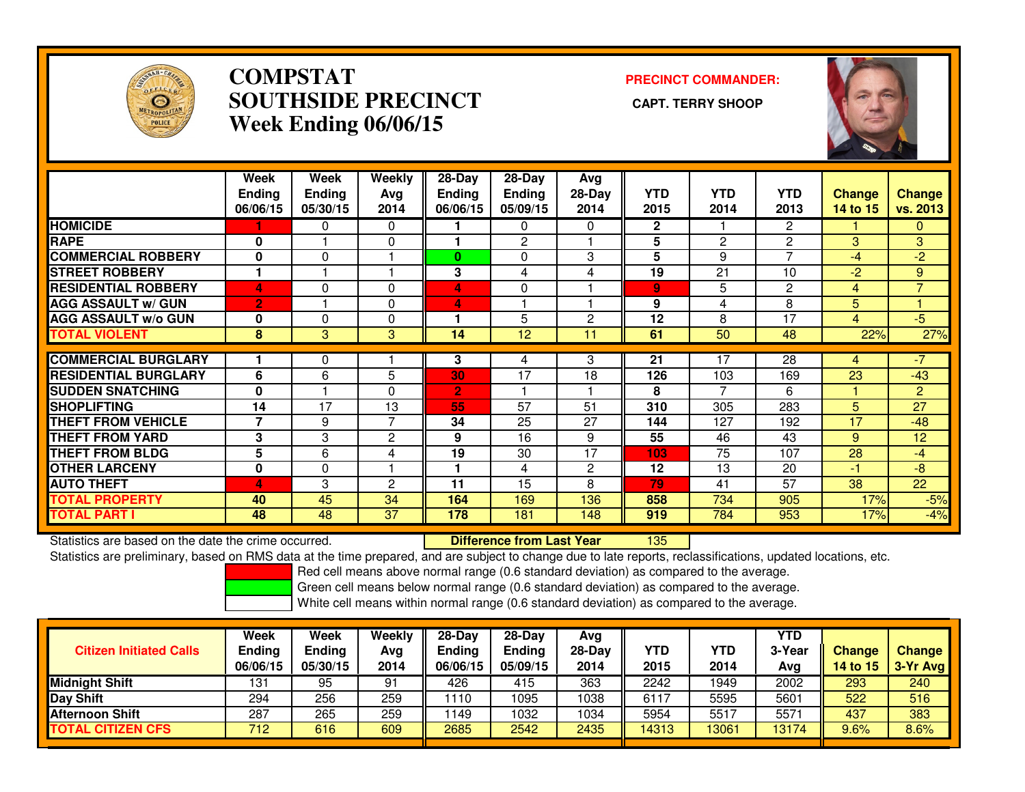

## **COMPSTAT PRECINCT COMMANDER: SOUTHSIDE PRECINCT CAPT. TERRY SHOOPWeek Ending 06/06/15**



|                             | Week<br><b>Ending</b><br>06/06/15 | Week<br><b>Ending</b><br>05/30/15 | Weekly<br>Avg<br>2014 | $28 - Day$<br><b>Ending</b><br>06/06/15 | $28 - Day$<br>Ending<br>05/09/15 | Avg<br>$28-Day$<br>2014 | <b>YTD</b><br>2015 | YTD.<br>2014   | <b>YTD</b><br>2013 | <b>Change</b><br>14 to 15 | <b>Change</b><br>vs. 2013 |
|-----------------------------|-----------------------------------|-----------------------------------|-----------------------|-----------------------------------------|----------------------------------|-------------------------|--------------------|----------------|--------------------|---------------------------|---------------------------|
| <b>HOMICIDE</b>             |                                   | 0                                 | 0                     |                                         | $\mathbf{0}$                     | 0                       | $\mathbf{2}$       |                | 2                  |                           | $\mathbf{0}$              |
| <b>RAPE</b>                 | 0                                 |                                   | 0                     |                                         | $\overline{2}$                   |                         | 5                  | $\overline{2}$ | 2                  | 3                         | 3                         |
| <b>COMMERCIAL ROBBERY</b>   | $\mathbf{0}$                      | $\Omega$                          |                       | $\bf{0}$                                | $\Omega$                         | 3                       | 5                  | 9              | $\overline{ }$     | -4                        | $-2$                      |
| <b>STREET ROBBERY</b>       |                                   |                                   |                       | 3                                       | 4                                | 4                       | 19                 | 21             | 10                 | $-2$                      | 9                         |
| <b>RESIDENTIAL ROBBERY</b>  | 4                                 | $\Omega$                          | $\mathbf 0$           | 4                                       | $\Omega$                         |                         | 9                  | 5              | $\overline{c}$     | $\overline{4}$            | $\overline{7}$            |
| <b>AGG ASSAULT w/ GUN</b>   | $\overline{2}$                    |                                   | $\Omega$              | 4                                       |                                  |                         | 9                  | 4              | 8                  | 5                         |                           |
| <b>AGG ASSAULT w/o GUN</b>  | 0                                 | $\Omega$                          | $\Omega$              |                                         | 5                                | 2                       | 12                 | 8              | 17                 | 4                         | $-5$                      |
| <b>TOTAL VIOLENT</b>        | 8                                 | 3                                 | 3                     | 14                                      | 12                               | 11                      | 61                 | 50             | 48                 | 22%                       | 27%                       |
|                             |                                   |                                   |                       |                                         |                                  |                         |                    |                |                    |                           |                           |
| <b>COMMERCIAL BURGLARY</b>  |                                   | 0                                 |                       | 3                                       | 4                                | 3                       | 21                 | 17             | 28                 | 4                         | $-7$                      |
| <b>RESIDENTIAL BURGLARY</b> | 6                                 | 6                                 | 5                     | 30                                      | 17                               | 18                      | 126                | 103            | 169                | 23                        | $-43$                     |
| <b>SUDDEN SNATCHING</b>     | $\bf{0}$                          |                                   | $\Omega$              | $\overline{2}$                          |                                  |                         | 8                  | 7              | 6                  |                           | $\overline{2}$            |
| <b>SHOPLIFTING</b>          | 14                                | 17                                | 13                    | 55                                      | 57                               | 51                      | 310                | 305            | 283                | 5                         | 27                        |
| THEFT FROM VEHICLE          | $\overline{7}$                    | 9                                 | $\overline{7}$        | 34                                      | 25                               | 27                      | 144                | 127            | 192                | 17                        | $-48$                     |
| <b>THEFT FROM YARD</b>      | 3                                 | 3                                 | $\mathbf{2}$          | 9                                       | 16                               | 9                       | 55                 | 46             | 43                 | 9                         | 12                        |
| <b>THEFT FROM BLDG</b>      | 5                                 | 6                                 | 4                     | 19                                      | 30                               | 17                      | 103                | 75             | 107                | 28                        | $-4$                      |
| <b>OTHER LARCENY</b>        | 0                                 | $\mathbf 0$                       |                       |                                         | 4                                | $\overline{2}$          | 12                 | 13             | 20                 | $-1$                      | -8                        |
| <b>AUTO THEFT</b>           | 4                                 | 3                                 | $\overline{2}$        | 11                                      | 15                               | 8                       | 79                 | 41             | 57                 | 38                        | 22                        |
| <b>TOTAL PROPERTY</b>       | 40                                | 45                                | 34                    | 164                                     | 169                              | 136                     | 858                | 734            | 905                | 17%                       | $-5%$                     |
| <b>TOTAL PART I</b>         | 48                                | 48                                | 37                    | 178                                     | 181                              | 148                     | 919                | 784            | 953                | 17%                       | $-4%$                     |

Statistics are based on the date the crime occurred. **Difference from Last Year** 

<sup>135</sup>

Statistics are preliminary, based on RMS data at the time prepared, and are subject to change due to late reports, reclassifications, updated locations, etc.

Red cell means above normal range (0.6 standard deviation) as compared to the average.

Green cell means below normal range (0.6 standard deviation) as compared to the average.

| <b>Citizen Initiated Calls</b> | Week<br><b>Ending</b><br>06/06/15 | <b>Week</b><br>Ending<br>05/30/15 | Weekly<br>Avg<br>2014 | $28-Day$<br>Ending<br>06/06/15 | $28-Dav$<br><b>Ending</b><br>05/09/15 | Ava<br>$28-Day$<br>2014 | YTD<br>2015 | YTD<br>2014 | YTD<br>3-Year<br>Avg | <b>Change</b><br>14 to 15 | <b>Change</b><br>3-Yr Avg |
|--------------------------------|-----------------------------------|-----------------------------------|-----------------------|--------------------------------|---------------------------------------|-------------------------|-------------|-------------|----------------------|---------------------------|---------------------------|
| <b>Midnight Shift</b>          | 131                               | 95                                | 91                    | 426                            | 415                                   | 363                     | 2242        | 1949        | 2002                 | 293                       | 240                       |
| Day Shift                      | 294                               | 256                               | 259                   | 1110                           | 1095                                  | 1038                    | 6117        | 5595        | 5601                 | 522                       | 516                       |
| <b>Afternoon Shift</b>         | 287                               | 265                               | 259                   | 1149                           | 1032                                  | 1034                    | 5954        | 5517        | 5571                 | 437                       | 383                       |
| <b>TOTAL CITIZEN CFS</b>       | 712                               | 616                               | 609                   | 2685                           | 2542                                  | 2435                    | 14313       | 3061        | 13174                | 9.6%                      | 8.6%                      |